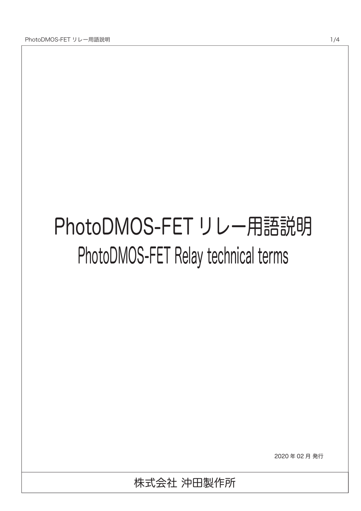# PhotoDMOS-FET リレー用語説明 PhotoDMOS-FET Relay technical terms

2020 年 02 月 発行

株式会社 沖田製作所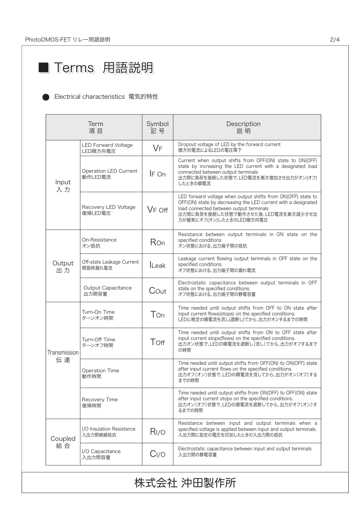## ■ Terms 用語説明

#### Electrical characteristics 電気的特性

| Term<br>項目         |                                       | Symbol<br>記号       | Description<br>説明                                                                                                                                                                                                                          |  |  |
|--------------------|---------------------------------------|--------------------|--------------------------------------------------------------------------------------------------------------------------------------------------------------------------------------------------------------------------------------------|--|--|
| Input<br>入力        | LED Forward Voltage<br>LED順方向電圧       | <b>VF</b>          | Dropout voltage of LED by the forward current<br>順方向電流によるLEDの電圧降下                                                                                                                                                                          |  |  |
|                    | Operation LED Current<br>動作LED電流      | IF On              | Current when output shifts from OFF(ON) state to ON(OFF)<br>state by increasing the LED current with a designated load<br>connected between output terminals<br>出力間に負荷を接続した状態で、LED電流を漸次増加させ出力がオン(オフ)<br>したときの順電流                           |  |  |
|                    | Recovery LED Voltage<br>復帰LED電圧       | V <sub>F</sub> off | LED forward voltage when output shifts from ON(OFF) state to<br>OFF(ON) state by decreasing the LED current with a designated<br>load connected between output terminals<br>出力間に負荷を接続した状態で動作させた後、LED電流を漸次減少させ出<br>力が確実にオフ(オン)したときのLED順方向電圧 |  |  |
| Output<br>出力       | On-Resistance<br>オン抵抗                 | Ron                | Resistance between output terminals in ON state on the<br>specified conditions<br>オン状態における、出力端子間の抵抗                                                                                                                                        |  |  |
|                    | Off-state Leakage Current<br>開路時漏れ電流  | <b>Leak</b>        | Leakage current flowing output terminals in OFF state on the<br>specified conditions.<br>オフ状態における、出力端子間の漏れ電流                                                                                                                               |  |  |
|                    | Output Capacitance<br>出力間容量           | Cout               | Electrostatic capacitance between output terminals in OFF<br>state on the specified conditions.<br>オフ状態における、出力端子間の静電容量                                                                                                                     |  |  |
| Transmission<br>伝達 | Turn-On Time<br>ターンオン時間               | Ton                | Time needed until output shifts from OFF to ON state after<br>input current flows(stops) on the specified conditions.<br>LEDに規定の順電流を流し(遮断し)てから、出力がオンするまでの時間                                                                                |  |  |
|                    | Turn-Off Time<br>ターンオフ時間              | Toff               | Time needed until output shifts from ON to OFF state after<br>input current stops(flows) on the specified conditions.<br>出力オン状態で、LEDの順電流を遮断し(流し)てから、出力がオフするまで<br>の時間                                                                       |  |  |
|                    | Operation Time<br>動作時間                |                    | Time needed until output shifts from OFF(ON) to ON(OFF) state<br>after input current flows on the specified conditions.<br>出力オフ(オン)状態で、LEDの順電流を流してから、出力がオン(オフ)する<br>までの時間                                                                  |  |  |
|                    | Recovery Time<br>復帰時間                 |                    | Time needed until output shifts from ON(OFF) to OFF(ON) state<br>after input current stops on the specified conditions.<br>出力オン(オフ)状態で、LEDの順電流を遮断してから、出力がオフ(オン)す<br>るまでの時間                                                                 |  |  |
| Coupled<br>結合      | I/O Insulation Resistance<br>入出力間絶縁抵抗 | R <sub>I/O</sub>   | Resistance between input and output terminals when a<br>specified voltage is applied between input and output terminals.<br>入出力間に指定の電圧を印加したときの入出力間の抵抗                                                                                      |  |  |
|                    | I/O Capacitance<br>入出力間容量             | C <sub>I/O</sub>   | Electrostatic capacitance between input and output terminals<br>入出力間の静電容量                                                                                                                                                                  |  |  |
| 株式会社 沖田製作所         |                                       |                    |                                                                                                                                                                                                                                            |  |  |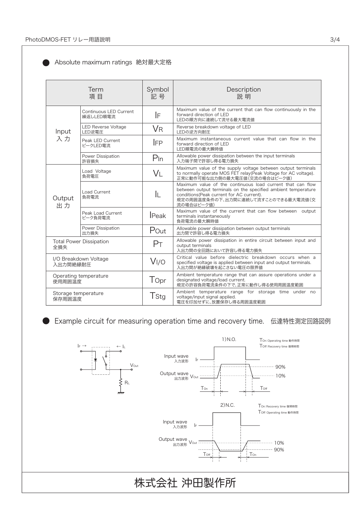| Term<br>項目                            |                                      | Symbol<br>記号     | Description<br>説 明                                                                                                                                                                                                            |
|---------------------------------------|--------------------------------------|------------------|-------------------------------------------------------------------------------------------------------------------------------------------------------------------------------------------------------------------------------|
| Input<br>入力                           | Continuous LED Current<br>繰返しLED順電流  | IF               | Maximum value of the current that can flow continuously in the<br>forward direction of LED<br>LEDの順方向に連続して流せる最大電流値                                                                                                            |
|                                       | <b>LED Reverse Voltage</b><br>LED逆電圧 | <b>V</b> R       | Reverse breakdown voltage of LED<br>LEDの逆方向耐圧                                                                                                                                                                                 |
|                                       | Peak LED Current<br>ピークLED電流         | <b>IFP</b>       | Maximum instantaneous current value that can flow in the<br>forward direction of LED<br>LED順電流の最大瞬時値                                                                                                                          |
|                                       | Power Dissipation<br>許容損失            | $P_{\text{In}}$  | Allowable power dissipation between the input terminals<br>入力端子間で許容し得る電力損失                                                                                                                                                    |
| Output<br>出力                          | Load Voltage<br>負荷電圧                 | VL               | Maximum value of the supply voltage between output terminals<br>to normally operate MOS FET relay(Peak Voltage for AC voltage).<br>正常に動作可能な出力側の最大電圧値(交流の場合はピーク値)                                                              |
|                                       | Load Current<br>負荷電流                 | IL               | Maximum value of the continuous load current that can flow<br>between output terminals on the specified ambient temperature<br>conditions (Peak current for AC current).<br>規定の周囲温度条件の下、出力間に連続して流すことのできる最大電流値(交<br>流の場合はピーク値) |
|                                       | Peak Load Current<br>ピーク負荷電流         | <b>I</b> Peak    | Maximum value of the current that can flow between<br>output<br>terminals instantaneously<br>自荷電流の最大瞬時値                                                                                                                       |
|                                       | Power Dissipation<br>出力損失            | Pout             | Allowable power dissipation between output terminals<br>出力間で許容し得る電力損失                                                                                                                                                         |
| <b>Total Power Dissipation</b><br>全損失 |                                      | P <sub>T</sub>   | Allowable power dissipation in entire circuit between input and<br>output terminals<br>入出力間の全回路において許容し得る電力損失                                                                                                                  |
| I/O Breakdown Voltage<br>入出力間絶縁耐圧     |                                      | V <sub>I/O</sub> | Critical value before dielectric breakdown occurs when a<br>specified voltage is applied between input and output terminals.<br>入出力間が絶縁破壊を起こさない電圧の限界値                                                                         |
| Operating temperature<br>使用周囲温度       |                                      | Topr             | Ambient temperature range that can assure operations under a<br>designated voltage/load current.<br>規定の許容負荷電流条件の下で、正常に動作し得る使用周囲温度範囲                                                                                           |
| Storage temperature<br>保存周囲温度         |                                      | T <sub>Stg</sub> | Ambient temperature range for storage time under no<br>voltage/input signal applied.<br>電圧を印加せずに、放置保存し得る周囲温度範囲                                                                                                                |

#### Absolute maximum ratings 絶対最大定格

Example circuit for measuring operation time and recovery time. 伝達特性測定回路図例 D